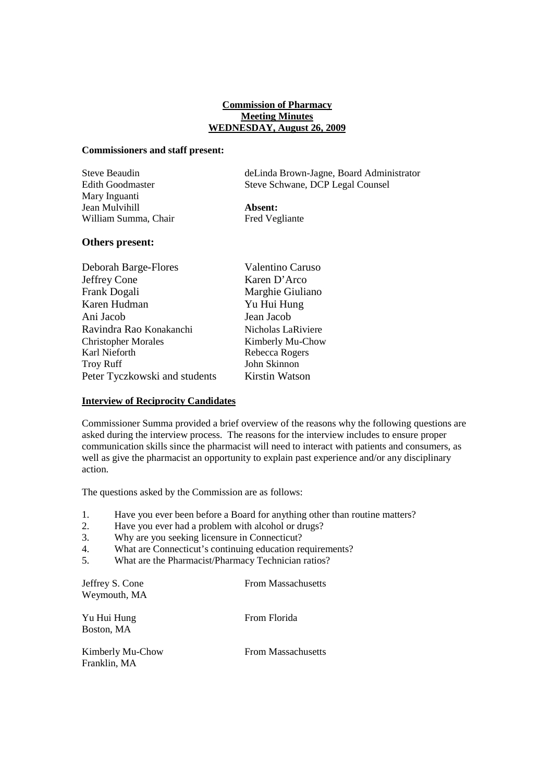### **Commission of Pharmacy Meeting Minutes WEDNESDAY, August 26, 2009**

#### **Commissioners and staff present:**

| Steve Beaudin           | deLinda Brown-Jagne, Board Administrator |
|-------------------------|------------------------------------------|
| <b>Edith Goodmaster</b> | Steve Schwane, DCP Legal Counsel         |
| Mary Inguanti           |                                          |
| Jean Mulvihill          | Absent:                                  |
| William Summa, Chair    | Fred Vegliante                           |

### **Others present:**

| Deborah Barge-Flores          | Valentino Caruso   |
|-------------------------------|--------------------|
| Jeffrey Cone                  | Karen D'Arco       |
| Frank Dogali                  | Marghie Giuliano   |
| Karen Hudman                  | Yu Hui Hung        |
| Ani Jacob                     | Jean Jacob         |
| Ravindra Rao Konakanchi       | Nicholas LaRiviere |
| <b>Christopher Morales</b>    | Kimberly Mu-Chow   |
| Karl Nieforth                 | Rebecca Rogers     |
| <b>Troy Ruff</b>              | John Skinnon       |
| Peter Tyczkowski and students | Kirstin Watson     |
|                               |                    |

## **Interview of Reciprocity Candidates**

Commissioner Summa provided a brief overview of the reasons why the following questions are asked during the interview process. The reasons for the interview includes to ensure proper communication skills since the pharmacist will need to interact with patients and consumers, as well as give the pharmacist an opportunity to explain past experience and/or any disciplinary action.

The questions asked by the Commission are as follows:

- 1. Have you ever been before a Board for anything other than routine matters?<br>2. Have you ever had a problem with alcohol or drugs?
- Have you ever had a problem with alcohol or drugs?
- 3. Why are you seeking licensure in Connecticut?
- 4. What are Connecticut's continuing education requirements?
- 5. What are the Pharmacist/Pharmacy Technician ratios?

Jeffrey S. Cone From Massachusetts Weymouth, MA

Yu Hui Hung From Florida Boston, MA

Kimberly Mu-Chow From Massachusetts Franklin, MA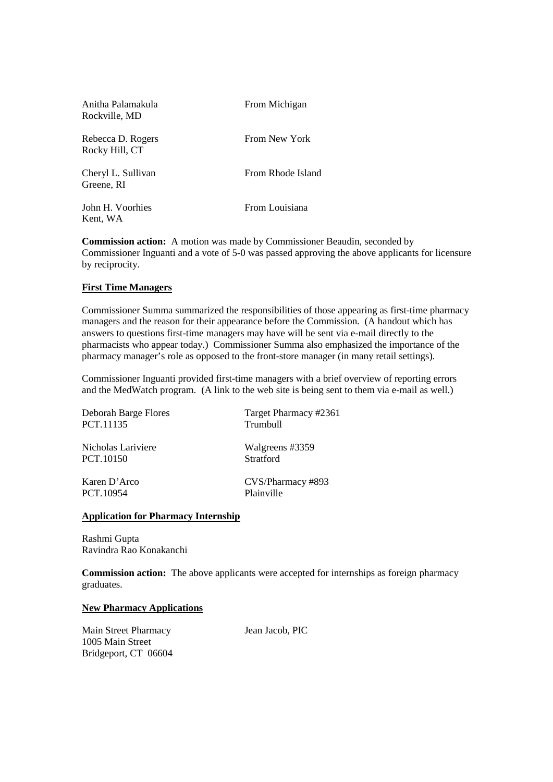| Anitha Palamakula<br>Rockville, MD  | From Michigan     |
|-------------------------------------|-------------------|
| Rebecca D. Rogers<br>Rocky Hill, CT | From New York     |
| Cheryl L. Sullivan<br>Greene, RI    | From Rhode Island |
| John H. Voorhies<br>Kent, WA        | From Louisiana    |

**Commission action:** A motion was made by Commissioner Beaudin, seconded by Commissioner Inguanti and a vote of 5-0 was passed approving the above applicants for licensure by reciprocity.

# **First Time Managers**

Commissioner Summa summarized the responsibilities of those appearing as first-time pharmacy managers and the reason for their appearance before the Commission. (A handout which has answers to questions first-time managers may have will be sent via e-mail directly to the pharmacists who appear today.) Commissioner Summa also emphasized the importance of the pharmacy manager's role as opposed to the front-store manager (in many retail settings).

Commissioner Inguanti provided first-time managers with a brief overview of reporting errors and the MedWatch program. (A link to the web site is being sent to them via e-mail as well.)

| Deborah Barge Flores | Target Pharmacy #2361 |
|----------------------|-----------------------|
| PCT.11135            | Trumbull              |
| Nicholas Lariviere   | Walgreens #3359       |
| PCT.10150            | Stratford             |
| Karen D'Arco         | CVS/Pharmacy #893     |
| PCT.10954            | Plainville            |

#### **Application for Pharmacy Internship**

Rashmi Gupta Ravindra Rao Konakanchi

**Commission action:** The above applicants were accepted for internships as foreign pharmacy graduates.

#### **New Pharmacy Applications**

Main Street Pharmacy Jean Jacob, PIC 1005 Main Street Bridgeport, CT 06604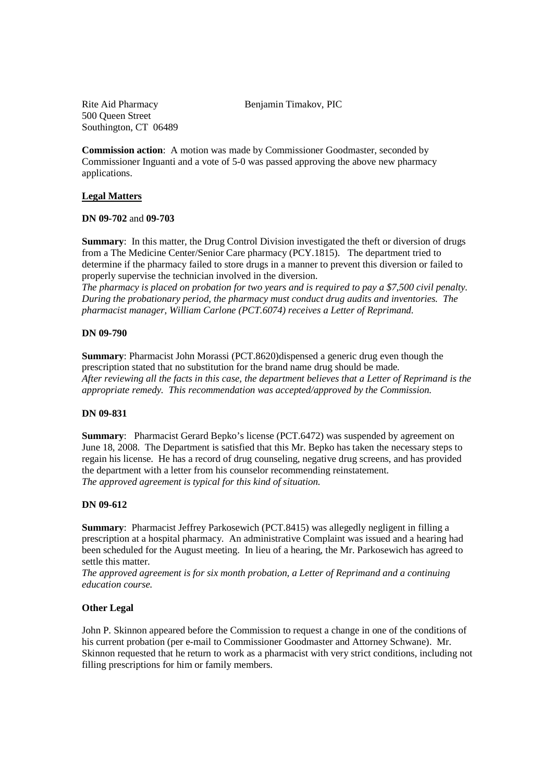#### Rite Aid Pharmacy Benjamin Timakov, PIC

500 Queen Street Southington, CT 06489

**Commission action**: A motion was made by Commissioner Goodmaster, seconded by Commissioner Inguanti and a vote of 5-0 was passed approving the above new pharmacy applications.

# **Legal Matters**

# **DN 09-702** and **09-703**

**Summary**: In this matter, the Drug Control Division investigated the theft or diversion of drugs from a The Medicine Center/Senior Care pharmacy (PCY.1815). The department tried to determine if the pharmacy failed to store drugs in a manner to prevent this diversion or failed to properly supervise the technician involved in the diversion.

*The pharmacy is placed on probation for two years and is required to pay a \$7,500 civil penalty. During the probationary period, the pharmacy must conduct drug audits and inventories. The pharmacist manager, William Carlone (PCT.6074) receives a Letter of Reprimand.*

# **DN 09-790**

**Summary**: Pharmacist John Morassi (PCT.8620)dispensed a generic drug even though the prescription stated that no substitution for the brand name drug should be made. *After reviewing all the facts in this case, the department believes that a Letter of Reprimand is the appropriate remedy. This recommendation was accepted/approved by the Commission.*

# **DN 09-831**

**Summary**: Pharmacist Gerard Bepko's license (PCT.6472) was suspended by agreement on June 18, 2008. The Department is satisfied that this Mr. Bepko has taken the necessary steps to regain his license. He has a record of drug counseling, negative drug screens, and has provided the department with a letter from his counselor recommending reinstatement. *The approved agreement is typical for this kind of situation.*

# **DN 09-612**

**Summary**: Pharmacist Jeffrey Parkosewich (PCT.8415) was allegedly negligent in filling a prescription at a hospital pharmacy. An administrative Complaint was issued and a hearing had been scheduled for the August meeting. In lieu of a hearing, the Mr. Parkosewich has agreed to settle this matter.

*The approved agreement is for six month probation, a Letter of Reprimand and a continuing education course.* 

# **Other Legal**

John P. Skinnon appeared before the Commission to request a change in one of the conditions of his current probation (per e-mail to Commissioner Goodmaster and Attorney Schwane). Mr. Skinnon requested that he return to work as a pharmacist with very strict conditions, including not filling prescriptions for him or family members.